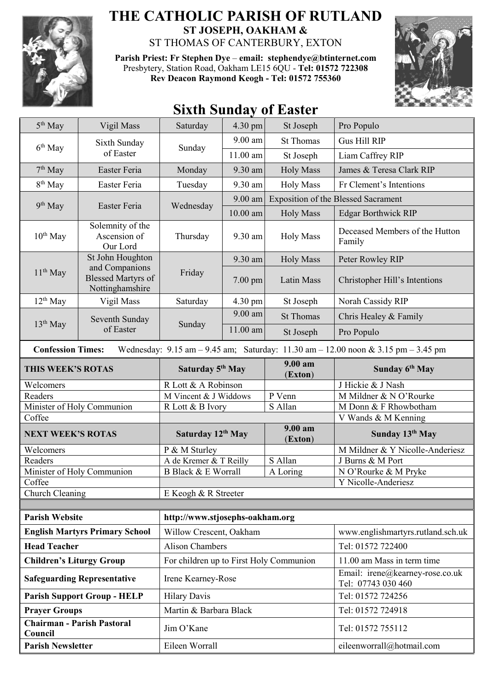

## **THE CATHOLIC PARISH OF RUTLAND ST JOSEPH, OAKHAM &**  ST THOMAS OF CANTERBURY, EXTON

**Parish Priest: Fr Stephen Dye** – **[email: stephendye@btinternet.com](mailto:email:%20%20stephendye@btinternet.com)** Presbytery, Station Road, Oakham LE15 6QU - **Tel: 01572 722308 Rev Deacon Raymond Keogh - Tel: 01572 755360**



## **Sixth Sunday of Easter**

| 5 <sup>th</sup> May                                                                                                                                                 | Vigil Mass                                                                         | Saturday                                | 4.30 pm    | St Joseph          | Pro Populo                                            |  |
|---------------------------------------------------------------------------------------------------------------------------------------------------------------------|------------------------------------------------------------------------------------|-----------------------------------------|------------|--------------------|-------------------------------------------------------|--|
| 6 <sup>th</sup> May                                                                                                                                                 | Sixth Sunday<br>of Easter                                                          | Sunday                                  | $9.00$ am  | <b>St Thomas</b>   | Gus Hill RIP                                          |  |
|                                                                                                                                                                     |                                                                                    |                                         | 11.00 am   | St Joseph          | Liam Caffrey RIP                                      |  |
| $7th$ May                                                                                                                                                           | Easter Feria                                                                       | Monday                                  | 9.30 am    | <b>Holy Mass</b>   | James & Teresa Clark RIP                              |  |
| 8 <sup>th</sup> May                                                                                                                                                 | Easter Feria                                                                       | Tuesday                                 | 9.30 am    | <b>Holy Mass</b>   | Fr Clement's Intentions                               |  |
| $9th$ May                                                                                                                                                           | Easter Feria                                                                       | Wednesday                               | 9.00 am    |                    | <b>Exposition of the Blessed Sacrament</b>            |  |
|                                                                                                                                                                     |                                                                                    |                                         | $10.00$ am | <b>Holy Mass</b>   | <b>Edgar Borthwick RIP</b>                            |  |
| $10^{th}$ May                                                                                                                                                       | Solemnity of the<br>Ascension of<br>Our Lord                                       | Thursday                                | 9.30 am    | <b>Holy Mass</b>   | Deceased Members of the Hutton<br>Family              |  |
| $11th$ May                                                                                                                                                          | St John Houghton<br>and Companions<br><b>Blessed Martyrs of</b><br>Nottinghamshire | Friday                                  | 9.30 am    | <b>Holy Mass</b>   | Peter Rowley RIP                                      |  |
|                                                                                                                                                                     |                                                                                    |                                         | $7.00$ pm  | Latin Mass         | Christopher Hill's Intentions                         |  |
| $12^{th}$ May                                                                                                                                                       | Vigil Mass                                                                         | Saturday                                | 4.30 pm    | St Joseph          | Norah Cassidy RIP                                     |  |
| $13th$ May                                                                                                                                                          | Seventh Sunday<br>of Easter                                                        | Sunday                                  | 9.00 am    | <b>St Thomas</b>   | Chris Healey & Family                                 |  |
|                                                                                                                                                                     |                                                                                    |                                         | 11.00 am   | St Joseph          | Pro Populo                                            |  |
| <b>Confession Times:</b><br>Wednesday: $9.15 \text{ am} - 9.45 \text{ am}$ ; Saturday: $11.30 \text{ am} - 12.00 \text{ noon} \& 3.15 \text{ pm} - 3.45 \text{ pm}$ |                                                                                    |                                         |            |                    |                                                       |  |
| THIS WEEK'S ROTAS                                                                                                                                                   |                                                                                    | Saturday 5 <sup>th</sup> May            |            | 9.00 am<br>(Exton) | Sunday 6 <sup>th</sup> May                            |  |
| Welcomers                                                                                                                                                           |                                                                                    | R Lott & A Robinson                     |            |                    | J Hickie & J Nash                                     |  |
|                                                                                                                                                                     |                                                                                    |                                         |            |                    |                                                       |  |
| Readers                                                                                                                                                             |                                                                                    | M Vincent & J Widdows                   |            | P Venn             | M Mildner & N O'Rourke                                |  |
|                                                                                                                                                                     | Minister of Holy Communion                                                         | R Lott & B Ivory                        |            | S Allan            | M Donn & F Rhowbotham                                 |  |
| Coffee                                                                                                                                                              |                                                                                    |                                         |            |                    | V Wands & M Kenning                                   |  |
| <b>NEXT WEEK'S ROTAS</b>                                                                                                                                            |                                                                                    | Saturday 12th May                       |            | 9.00 am            | Sunday 13th May                                       |  |
| Welcomers                                                                                                                                                           |                                                                                    | P & M Sturley                           |            | (Exton)            | M Mildner & Y Nicolle-Anderiesz                       |  |
| Readers                                                                                                                                                             |                                                                                    | A de Kremer & T Reilly                  |            | S Allan            | J Burns & M Port                                      |  |
|                                                                                                                                                                     | Minister of Holy Communion                                                         | <b>B Black &amp; E Worrall</b>          |            | A Loring           | N O'Rourke & M Pryke                                  |  |
| Coffee                                                                                                                                                              |                                                                                    |                                         |            |                    | Y Nicolle-Anderiesz                                   |  |
| Church Cleaning                                                                                                                                                     |                                                                                    | E Keogh & R Streeter                    |            |                    |                                                       |  |
|                                                                                                                                                                     |                                                                                    |                                         |            |                    |                                                       |  |
| <b>Parish Website</b>                                                                                                                                               |                                                                                    | http://www.stjosephs-oakham.org         |            |                    |                                                       |  |
|                                                                                                                                                                     | <b>English Martyrs Primary School</b>                                              | Willow Crescent, Oakham                 |            |                    | www.englishmartyrs.rutland.sch.uk                     |  |
| <b>Head Teacher</b>                                                                                                                                                 |                                                                                    | <b>Alison Chambers</b>                  |            |                    | Tel: 01572 722400                                     |  |
| <b>Children's Liturgy Group</b>                                                                                                                                     |                                                                                    | For children up to First Holy Communion |            |                    | 11.00 am Mass in term time                            |  |
|                                                                                                                                                                     | <b>Safeguarding Representative</b>                                                 | Irene Kearney-Rose                      |            |                    | Email: irene@kearney-rose.co.uk<br>Tel: 07743 030 460 |  |
|                                                                                                                                                                     | <b>Parish Support Group - HELP</b>                                                 | <b>Hilary Davis</b>                     |            |                    | Tel: 01572 724256                                     |  |
| <b>Prayer Groups</b>                                                                                                                                                |                                                                                    | Martin & Barbara Black                  |            |                    | Tel: 01572 724918                                     |  |
| Council                                                                                                                                                             | Chairman - Parish Pastoral                                                         | Jim O'Kane                              |            |                    | Tel: 01572 755112                                     |  |